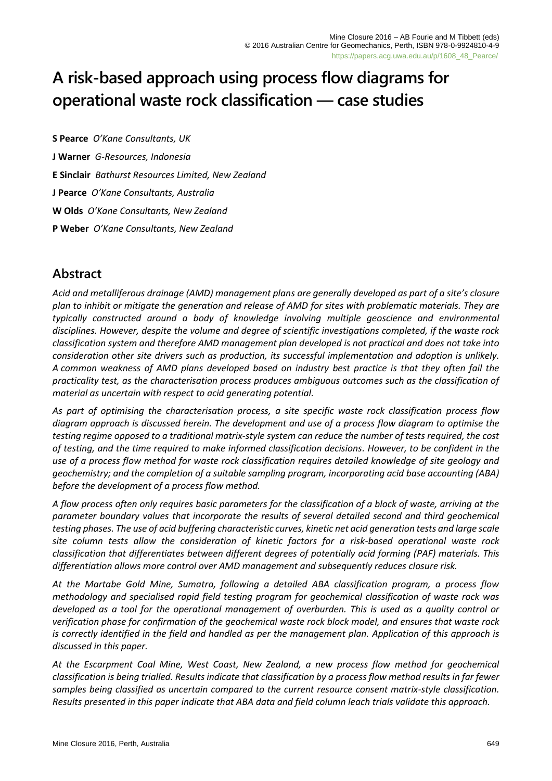# **A risk-based approach using process flow diagrams for operational waste rock classification — case studies**

**S Pearce** *O'Kane Consultants, UK* **J Warner** *G-Resources, Indonesia* **E Sinclair** *Bathurst Resources Limited, New Zealand* **J Pearce** *O'Kane Consultants, Australia* **W Olds** *O'Kane Consultants, New Zealand* **P Weber** *O'Kane Consultants, New Zealand*

## **Abstract**

*Acid and metalliferous drainage (AMD) management plans are generally developed as part of a site's closure plan to inhibit or mitigate the generation and release of AMD for sites with problematic materials. They are typically constructed around a body of knowledge involving multiple geoscience and environmental disciplines. However, despite the volume and degree of scientific investigations completed, if the waste rock classification system and therefore AMD management plan developed is not practical and does not take into consideration other site drivers such as production, its successful implementation and adoption is unlikely. A common weakness of AMD plans developed based on industry best practice is that they often fail the practicality test, as the characterisation process produces ambiguous outcomes such as the classification of material as uncertain with respect to acid generating potential.*

*As part of optimising the characterisation process, a site specific waste rock classification process flow diagram approach is discussed herein. The development and use of a process flow diagram to optimise the testing regime opposed to a traditional matrix-style system can reduce the number of tests required, the cost of testing, and the time required to make informed classification decisions. However, to be confident in the use of a process flow method for waste rock classification requires detailed knowledge of site geology and geochemistry; and the completion of a suitable sampling program, incorporating acid base accounting (ABA) before the development of a process flow method.*

*A flow process often only requires basic parameters for the classification of a block of waste, arriving at the parameter boundary values that incorporate the results of several detailed second and third geochemical testing phases. The use of acid buffering characteristic curves, kinetic net acid generation tests and large scale site column tests allow the consideration of kinetic factors for a risk-based operational waste rock classification that differentiates between different degrees of potentially acid forming (PAF) materials. This differentiation allows more control over AMD management and subsequently reduces closure risk.*

*At the Martabe Gold Mine, Sumatra, following a detailed ABA classification program, a process flow methodology and specialised rapid field testing program for geochemical classification of waste rock was developed as a tool for the operational management of overburden. This is used as a quality control or verification phase for confirmation of the geochemical waste rock block model, and ensures that waste rock is correctly identified in the field and handled as per the management plan. Application of this approach is discussed in this paper.*

*At the Escarpment Coal Mine, West Coast, New Zealand, a new process flow method for geochemical classification is being trialled. Results indicate that classification by a process flow method results in far fewer samples being classified as uncertain compared to the current resource consent matrix-style classification. Results presented in this paper indicate that ABA data and field column leach trials validate this approach.*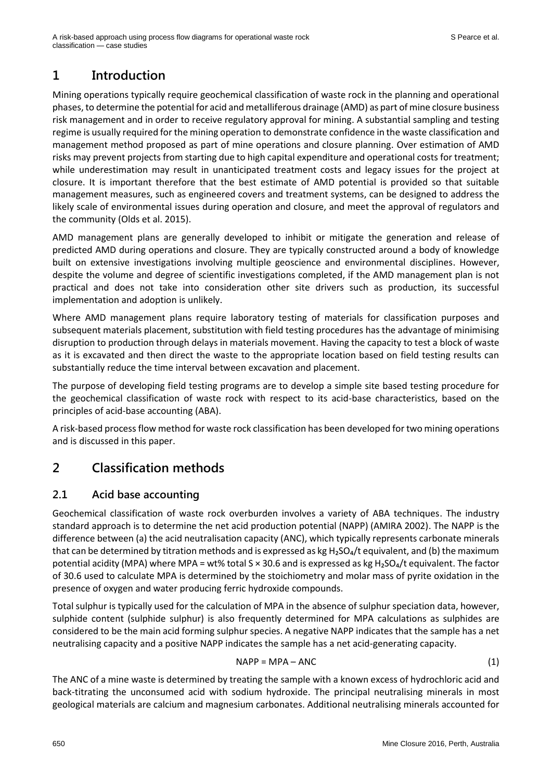# **1 Introduction**

Mining operations typically require geochemical classification of waste rock in the planning and operational phases, to determine the potential for acid and metalliferous drainage (AMD) as part of mine closure business risk management and in order to receive regulatory approval for mining. A substantial sampling and testing regime is usually required for the mining operation to demonstrate confidence in the waste classification and management method proposed as part of mine operations and closure planning. Over estimation of AMD risks may prevent projects from starting due to high capital expenditure and operational costs for treatment; while underestimation may result in unanticipated treatment costs and legacy issues for the project at closure. It is important therefore that the best estimate of AMD potential is provided so that suitable management measures, such as engineered covers and treatment systems, can be designed to address the likely scale of environmental issues during operation and closure, and meet the approval of regulators and the community (Olds et al. 2015).

AMD management plans are generally developed to inhibit or mitigate the generation and release of predicted AMD during operations and closure. They are typically constructed around a body of knowledge built on extensive investigations involving multiple geoscience and environmental disciplines. However, despite the volume and degree of scientific investigations completed, if the AMD management plan is not practical and does not take into consideration other site drivers such as production, its successful implementation and adoption is unlikely.

Where AMD management plans require laboratory testing of materials for classification purposes and subsequent materials placement, substitution with field testing procedures has the advantage of minimising disruption to production through delays in materials movement. Having the capacity to test a block of waste as it is excavated and then direct the waste to the appropriate location based on field testing results can substantially reduce the time interval between excavation and placement.

The purpose of developing field testing programs are to develop a simple site based testing procedure for the geochemical classification of waste rock with respect to its acid-base characteristics, based on the principles of acid-base accounting (ABA).

A risk-based process flow method for waste rock classification has been developed for two mining operations and is discussed in this paper.

# **2 Classification methods**

### **2.1 Acid base accounting**

Geochemical classification of waste rock overburden involves a variety of ABA techniques. The industry standard approach is to determine the net acid production potential (NAPP) (AMIRA 2002). The NAPP is the difference between (a) the acid neutralisation capacity (ANC), which typically represents carbonate minerals that can be determined by titration methods and is expressed as kg  $H<sub>2</sub>SO<sub>4</sub>/t$  equivalent, and (b) the maximum potential acidity (MPA) where MPA = wt% total  $S \times 30.6$  and is expressed as kg H<sub>2</sub>SO<sub>4</sub>/t equivalent. The factor of 30.6 used to calculate MPA is determined by the stoichiometry and molar mass of pyrite oxidation in the presence of oxygen and water producing ferric hydroxide compounds.

Total sulphur is typically used for the calculation of MPA in the absence of sulphur speciation data, however, sulphide content (sulphide sulphur) is also frequently determined for MPA calculations as sulphides are considered to be the main acid forming sulphur species. A negative NAPP indicates that the sample has a net neutralising capacity and a positive NAPP indicates the sample has a net acid-generating capacity.

$$
NAPP = MPA - ANC
$$
 (1)

The ANC of a mine waste is determined by treating the sample with a known excess of hydrochloric acid and back-titrating the unconsumed acid with sodium hydroxide. The principal neutralising minerals in most geological materials are calcium and magnesium carbonates. Additional neutralising minerals accounted for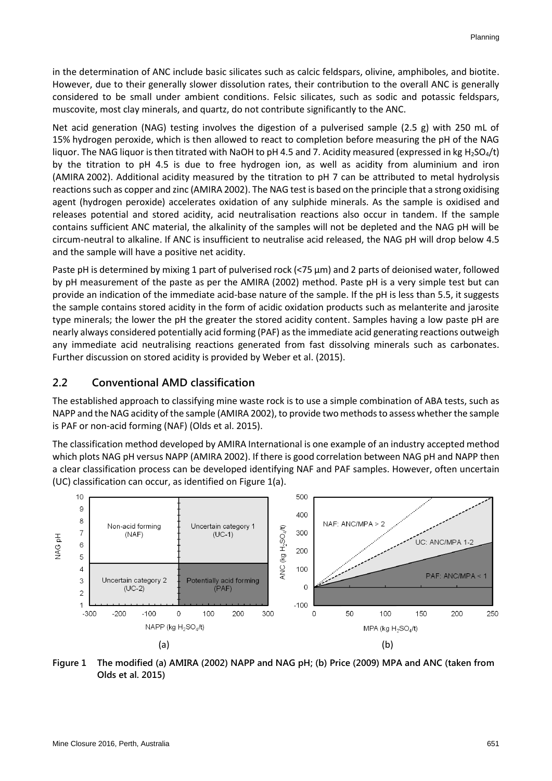in the determination of ANC include basic silicates such as calcic feldspars, olivine, amphiboles, and biotite. However, due to their generally slower dissolution rates, their contribution to the overall ANC is generally considered to be small under ambient conditions. Felsic silicates, such as sodic and potassic feldspars, muscovite, most clay minerals, and quartz, do not contribute significantly to the ANC.

Net acid generation (NAG) testing involves the digestion of a pulverised sample (2.5 g) with 250 mL of 15% hydrogen peroxide, which is then allowed to react to completion before measuring the pH of the NAG liquor. The NAG liquor is then titrated with NaOH to pH 4.5 and 7. Acidity measured (expressed in kg H<sub>2</sub>SO<sub>4</sub>/t) by the titration to pH 4.5 is due to free hydrogen ion, as well as acidity from aluminium and iron (AMIRA 2002). Additional acidity measured by the titration to pH 7 can be attributed to metal hydrolysis reactions such as copper and zinc (AMIRA 2002). The NAG test is based on the principle that a strong oxidising agent (hydrogen peroxide) accelerates oxidation of any sulphide minerals. As the sample is oxidised and releases potential and stored acidity, acid neutralisation reactions also occur in tandem. If the sample contains sufficient ANC material, the alkalinity of the samples will not be depleted and the NAG pH will be circum-neutral to alkaline. If ANC is insufficient to neutralise acid released, the NAG pH will drop below 4.5 and the sample will have a positive net acidity.

Paste pH is determined by mixing 1 part of pulverised rock (<75 µm) and 2 parts of deionised water, followed by pH measurement of the paste as per the AMIRA (2002) method. Paste pH is a very simple test but can provide an indication of the immediate acid-base nature of the sample. If the pH is less than 5.5, it suggests the sample contains stored acidity in the form of acidic oxidation products such as melanterite and jarosite type minerals; the lower the pH the greater the stored acidity content. Samples having a low paste pH are nearly always considered potentially acid forming (PAF) as the immediate acid generating reactions outweigh any immediate acid neutralising reactions generated from fast dissolving minerals such as carbonates. Further discussion on stored acidity is provided by Weber et al. (2015).

#### **2.2 Conventional AMD classification**

The established approach to classifying mine waste rock is to use a simple combination of ABA tests, such as NAPP and the NAG acidity of the sample (AMIRA 2002), to provide two methods to assess whether the sample is PAF or non-acid forming (NAF) (Olds et al. 2015).

The classification method developed by AMIRA International is one example of an industry accepted method which plots NAG pH versus NAPP (AMIRA 2002). If there is good correlation between NAG pH and NAPP then a clear classification process can be developed identifying NAF and PAF samples. However, often uncertain (UC) classification can occur, as identified on Figure 1(a).



**Figure 1 The modified (a) AMIRA (2002) NAPP and NAG pH; (b) Price (2009) MPA and ANC (taken from Olds et al. 2015)**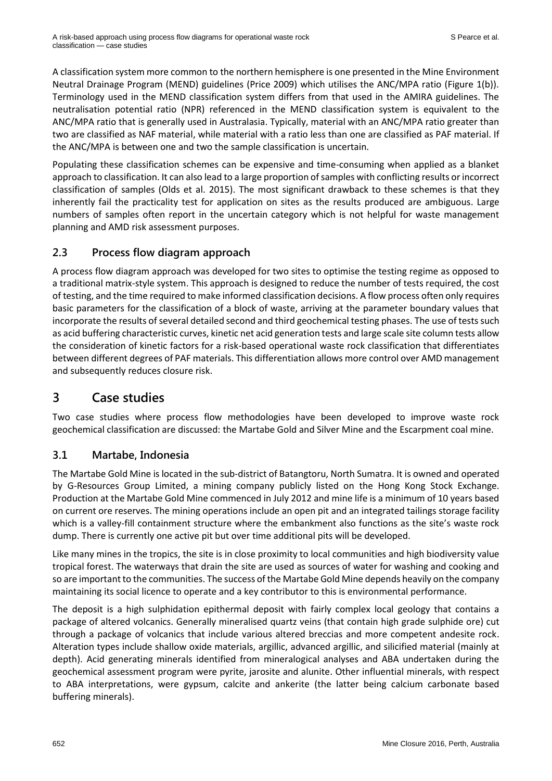A classification system more common to the northern hemisphere is one presented in the Mine Environment Neutral Drainage Program (MEND) guidelines (Price 2009) which utilises the ANC/MPA ratio (Figure 1(b)). Terminology used in the MEND classification system differs from that used in the AMIRA guidelines. The neutralisation potential ratio (NPR) referenced in the MEND classification system is equivalent to the ANC/MPA ratio that is generally used in Australasia. Typically, material with an ANC/MPA ratio greater than two are classified as NAF material, while material with a ratio less than one are classified as PAF material. If the ANC/MPA is between one and two the sample classification is uncertain.

Populating these classification schemes can be expensive and time-consuming when applied as a blanket approach to classification. It can also lead to a large proportion of samples with conflicting results or incorrect classification of samples (Olds et al. 2015). The most significant drawback to these schemes is that they inherently fail the practicality test for application on sites as the results produced are ambiguous. Large numbers of samples often report in the uncertain category which is not helpful for waste management planning and AMD risk assessment purposes.

### **2.3 Process flow diagram approach**

A process flow diagram approach was developed for two sites to optimise the testing regime as opposed to a traditional matrix-style system. This approach is designed to reduce the number of tests required, the cost of testing, and the time required to make informed classification decisions. A flow process often only requires basic parameters for the classification of a block of waste, arriving at the parameter boundary values that incorporate the results of several detailed second and third geochemical testing phases. The use of tests such as acid buffering characteristic curves, kinetic net acid generation tests and large scale site column tests allow the consideration of kinetic factors for a risk-based operational waste rock classification that differentiates between different degrees of PAF materials. This differentiation allows more control over AMD management and subsequently reduces closure risk.

## **3 Case studies**

Two case studies where process flow methodologies have been developed to improve waste rock geochemical classification are discussed: the Martabe Gold and Silver Mine and the Escarpment coal mine.

#### **3.1 Martabe, Indonesia**

The Martabe Gold Mine is located in the sub-district of Batangtoru, North Sumatra. It is owned and operated by G-Resources Group Limited, a mining company publicly listed on the Hong Kong Stock Exchange. Production at the Martabe Gold Mine commenced in July 2012 and mine life is a minimum of 10 years based on current ore reserves. The mining operations include an open pit and an integrated tailings storage facility which is a valley-fill containment structure where the embankment also functions as the site's waste rock dump. There is currently one active pit but over time additional pits will be developed.

Like many mines in the tropics, the site is in close proximity to local communities and high biodiversity value tropical forest. The waterways that drain the site are used as sources of water for washing and cooking and so are important to the communities. The success of the Martabe Gold Mine depends heavily on the company maintaining its social licence to operate and a key contributor to this is environmental performance.

The deposit is a high sulphidation epithermal deposit with fairly complex local geology that contains a package of altered volcanics. Generally mineralised quartz veins (that contain high grade sulphide ore) cut through a package of volcanics that include various altered breccias and more competent andesite rock. Alteration types include shallow oxide materials, argillic, advanced argillic, and silicified material (mainly at depth). Acid generating minerals identified from mineralogical analyses and ABA undertaken during the geochemical assessment program were pyrite, jarosite and alunite. Other influential minerals, with respect to ABA interpretations, were gypsum, calcite and ankerite (the latter being calcium carbonate based buffering minerals).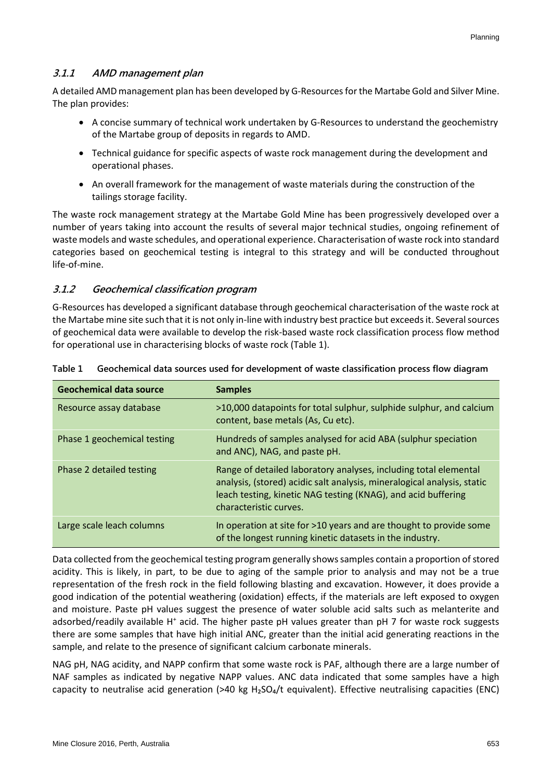#### **3.1.1 AMD management plan**

A detailed AMD management plan has been developed by G-Resources for the Martabe Gold and Silver Mine. The plan provides:

- A concise summary of technical work undertaken by G-Resources to understand the geochemistry of the Martabe group of deposits in regards to AMD.
- Technical guidance for specific aspects of waste rock management during the development and operational phases.
- An overall framework for the management of waste materials during the construction of the tailings storage facility.

The waste rock management strategy at the Martabe Gold Mine has been progressively developed over a number of years taking into account the results of several major technical studies, ongoing refinement of waste models and waste schedules, and operational experience. Characterisation of waste rock into standard categories based on geochemical testing is integral to this strategy and will be conducted throughout life-of-mine.

#### **3.1.2 Geochemical classification program**

G-Resources has developed a significant database through geochemical characterisation of the waste rock at the Martabe mine site such that it is not only in-line with industry best practice but exceeds it. Several sources of geochemical data were available to develop the risk-based waste rock classification process flow method for operational use in characterising blocks of waste rock (Table 1).

| <b>Geochemical data source</b> | <b>Samples</b>                                                                                                                                                                                                                         |
|--------------------------------|----------------------------------------------------------------------------------------------------------------------------------------------------------------------------------------------------------------------------------------|
| Resource assay database        | >10,000 datapoints for total sulphur, sulphide sulphur, and calcium<br>content, base metals (As, Cu etc).                                                                                                                              |
| Phase 1 geochemical testing    | Hundreds of samples analysed for acid ABA (sulphur speciation<br>and ANC), NAG, and paste pH.                                                                                                                                          |
| Phase 2 detailed testing       | Range of detailed laboratory analyses, including total elemental<br>analysis, (stored) acidic salt analysis, mineralogical analysis, static<br>leach testing, kinetic NAG testing (KNAG), and acid buffering<br>characteristic curves. |
| Large scale leach columns      | In operation at site for >10 years and are thought to provide some<br>of the longest running kinetic datasets in the industry.                                                                                                         |

#### **Table 1 Geochemical data sources used for development of waste classification process flow diagram**

Data collected from the geochemical testing program generally shows samples contain a proportion of stored acidity. This is likely, in part, to be due to aging of the sample prior to analysis and may not be a true representation of the fresh rock in the field following blasting and excavation. However, it does provide a good indication of the potential weathering (oxidation) effects, if the materials are left exposed to oxygen and moisture. Paste pH values suggest the presence of water soluble acid salts such as melanterite and adsorbed/readily available H<sup>+</sup> acid. The higher paste pH values greater than pH 7 for waste rock suggests there are some samples that have high initial ANC, greater than the initial acid generating reactions in the sample, and relate to the presence of significant calcium carbonate minerals.

NAG pH, NAG acidity, and NAPP confirm that some waste rock is PAF, although there are a large number of NAF samples as indicated by negative NAPP values. ANC data indicated that some samples have a high capacity to neutralise acid generation  $(>40 \text{ kg H}_2)\text{SO}_4/t$  equivalent). Effective neutralising capacities (ENC)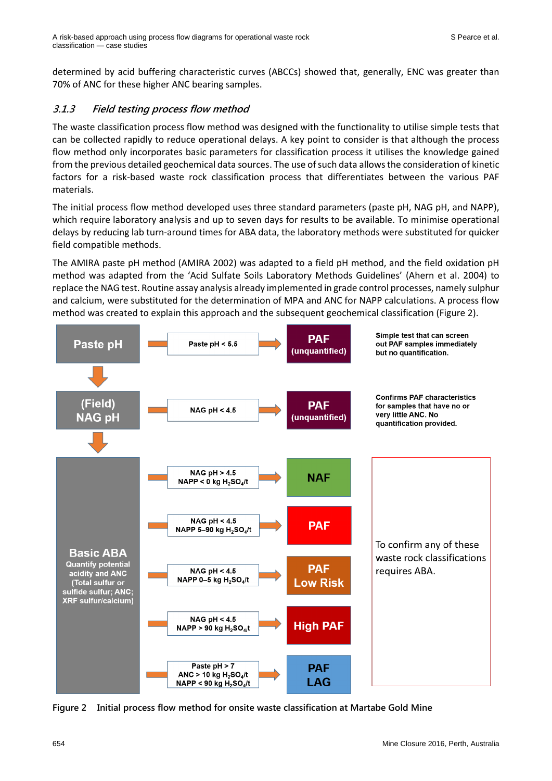determined by acid buffering characteristic curves (ABCCs) showed that, generally, ENC was greater than 70% of ANC for these higher ANC bearing samples.

#### **3.1.3 Field testing process flow method**

The waste classification process flow method was designed with the functionality to utilise simple tests that can be collected rapidly to reduce operational delays. A key point to consider is that although the process flow method only incorporates basic parameters for classification process it utilises the knowledge gained from the previous detailed geochemical data sources. The use of such data allowsthe consideration of kinetic factors for a risk-based waste rock classification process that differentiates between the various PAF materials.

The initial process flow method developed uses three standard parameters (paste pH, NAG pH, and NAPP), which require laboratory analysis and up to seven days for results to be available. To minimise operational delays by reducing lab turn-around times for ABA data, the laboratory methods were substituted for quicker field compatible methods.

The AMIRA paste pH method (AMIRA 2002) was adapted to a field pH method, and the field oxidation pH method was adapted from the 'Acid Sulfate Soils Laboratory Methods Guidelines' (Ahern et al. 2004) to replace the NAG test. Routine assay analysis already implemented in grade control processes, namely sulphur and calcium, were substituted for the determination of MPA and ANC for NAPP calculations. A process flow method was created to explain this approach and the subsequent geochemical classification (Figure 2).



**Figure 2 Initial process flow method for onsite waste classification at Martabe Gold Mine**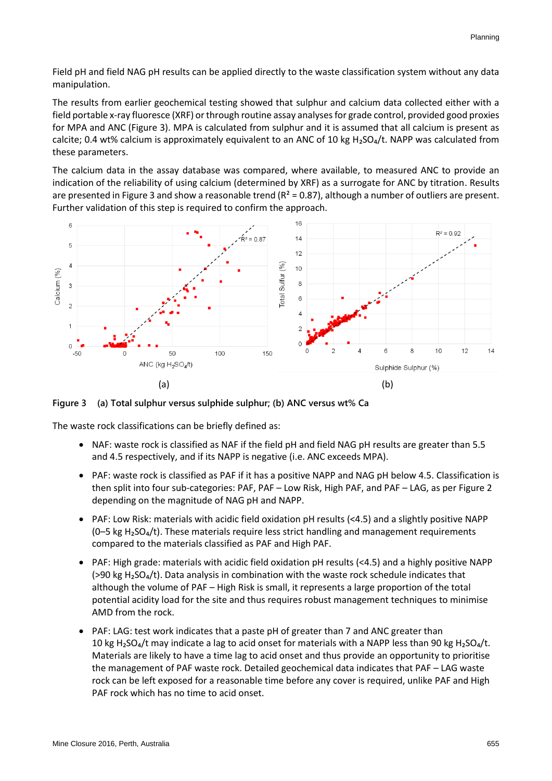Field pH and field NAG pH results can be applied directly to the waste classification system without any data manipulation.

The results from earlier geochemical testing showed that sulphur and calcium data collected either with a field portable x-ray fluoresce (XRF) or through routine assay analyses for grade control, provided good proxies for MPA and ANC (Figure 3). MPA is calculated from sulphur and it is assumed that all calcium is present as calcite; 0.4 wt% calcium is approximately equivalent to an ANC of 10 kg H2SO4/t. NAPP was calculated from these parameters.

The calcium data in the assay database was compared, where available, to measured ANC to provide an indication of the reliability of using calcium (determined by XRF) as a surrogate for ANC by titration. Results are presented in Figure 3 and show a reasonable trend ( $R^2$  = 0.87), although a number of outliers are present. Further validation of this step is required to confirm the approach.





The waste rock classifications can be briefly defined as:

- NAF: waste rock is classified as NAF if the field pH and field NAG pH results are greater than 5.5 and 4.5 respectively, and if its NAPP is negative (i.e. ANC exceeds MPA).
- PAF: waste rock is classified as PAF if it has a positive NAPP and NAG pH below 4.5. Classification is then split into four sub-categories: PAF, PAF – Low Risk, High PAF, and PAF – LAG, as per Figure 2 depending on the magnitude of NAG pH and NAPP.
- $\bullet$  PAF: Low Risk: materials with acidic field oxidation pH results (<4.5) and a slightly positive NAPP  $(0-5$  kg H<sub>2</sub>SO<sub>4</sub>/t). These materials require less strict handling and management requirements compared to the materials classified as PAF and High PAF.
- PAF: High grade: materials with acidic field oxidation pH results (<4.5) and a highly positive NAPP  $(>90 \text{ kg H}_2SO<sub>a</sub>/t)$ . Data analysis in combination with the waste rock schedule indicates that although the volume of PAF – High Risk is small, it represents a large proportion of the total potential acidity load for the site and thus requires robust management techniques to minimise AMD from the rock.
- PAF: LAG: test work indicates that a paste pH of greater than 7 and ANC greater than 10 kg H2SO4/t may indicate a lag to acid onset for materials with a NAPP less than 90 kg H2SO4/t. Materials are likely to have a time lag to acid onset and thus provide an opportunity to prioritise the management of PAF waste rock. Detailed geochemical data indicates that PAF – LAG waste rock can be left exposed for a reasonable time before any cover is required, unlike PAF and High PAF rock which has no time to acid onset.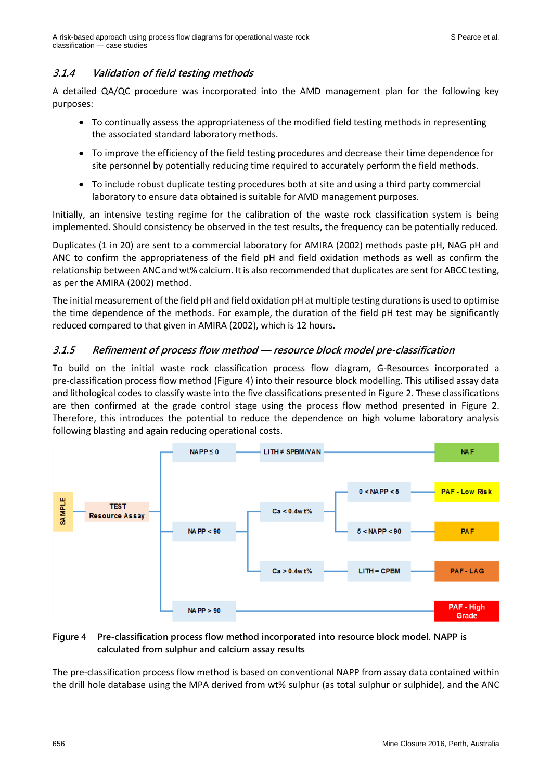#### **3.1.4 Validation of field testing methods**

A detailed QA/QC procedure was incorporated into the AMD management plan for the following key purposes:

- To continually assess the appropriateness of the modified field testing methods in representing the associated standard laboratory methods.
- To improve the efficiency of the field testing procedures and decrease their time dependence for site personnel by potentially reducing time required to accurately perform the field methods.
- To include robust duplicate testing procedures both at site and using a third party commercial laboratory to ensure data obtained is suitable for AMD management purposes.

Initially, an intensive testing regime for the calibration of the waste rock classification system is being implemented. Should consistency be observed in the test results, the frequency can be potentially reduced.

Duplicates (1 in 20) are sent to a commercial laboratory for AMIRA (2002) methods paste pH, NAG pH and ANC to confirm the appropriateness of the field pH and field oxidation methods as well as confirm the relationship between ANC and wt% calcium. It is also recommended that duplicates are sent for ABCC testing, as per the AMIRA (2002) method.

The initial measurement of the field pH and field oxidation pH at multiple testing durations is used to optimise the time dependence of the methods. For example, the duration of the field pH test may be significantly reduced compared to that given in AMIRA (2002), which is 12 hours.

#### **3.1.5 Refinement of process flow method — resource block model pre-classification**

To build on the initial waste rock classification process flow diagram, G-Resources incorporated a pre-classification process flow method (Figure 4) into their resource block modelling. This utilised assay data and lithological codes to classify waste into the five classifications presented in Figure 2. These classifications are then confirmed at the grade control stage using the process flow method presented in Figure 2. Therefore, this introduces the potential to reduce the dependence on high volume laboratory analysis following blasting and again reducing operational costs.



#### **Figure 4 Pre-classification process flow method incorporated into resource block model. NAPP is calculated from sulphur and calcium assay results**

The pre-classification process flow method is based on conventional NAPP from assay data contained within the drill hole database using the MPA derived from wt% sulphur (as total sulphur or sulphide), and the ANC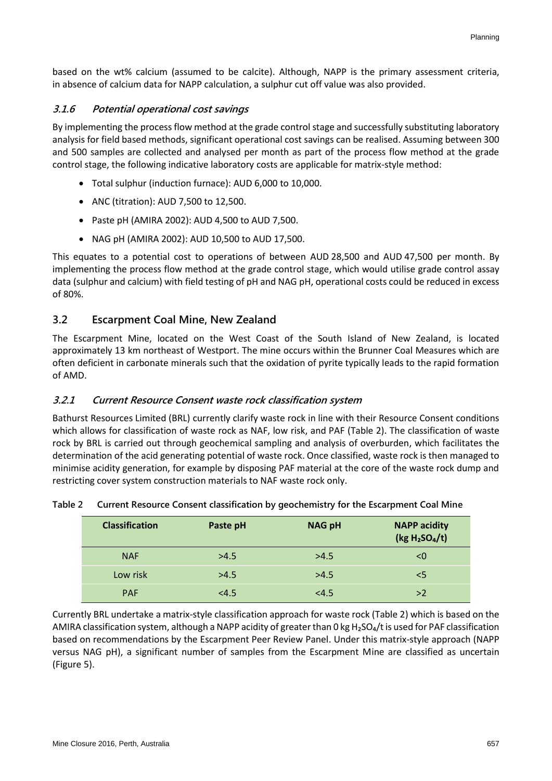based on the wt% calcium (assumed to be calcite). Although, NAPP is the primary assessment criteria, in absence of calcium data for NAPP calculation, a sulphur cut off value was also provided.

#### **3.1.6 Potential operational cost savings**

By implementing the process flow method at the grade control stage and successfully substituting laboratory analysis for field based methods, significant operational cost savings can be realised. Assuming between 300 and 500 samples are collected and analysed per month as part of the process flow method at the grade control stage, the following indicative laboratory costs are applicable for matrix-style method:

- Total sulphur (induction furnace): AUD 6,000 to 10,000.
- ANC (titration): AUD 7,500 to 12,500.
- Paste pH (AMIRA 2002): AUD 4,500 to AUD 7,500.
- NAG pH (AMIRA 2002): AUD 10,500 to AUD 17,500.

This equates to a potential cost to operations of between AUD 28,500 and AUD 47,500 per month. By implementing the process flow method at the grade control stage, which would utilise grade control assay data (sulphur and calcium) with field testing of pH and NAG pH, operational costs could be reduced in excess of 80%.

#### **3.2 Escarpment Coal Mine, New Zealand**

The Escarpment Mine, located on the West Coast of the South Island of New Zealand, is located approximately 13 km northeast of Westport. The mine occurs within the Brunner Coal Measures which are often deficient in carbonate minerals such that the oxidation of pyrite typically leads to the rapid formation of AMD.

#### **3.2.1 Current Resource Consent waste rock classification system**

Bathurst Resources Limited (BRL) currently clarify waste rock in line with their Resource Consent conditions which allows for classification of waste rock as NAF, low risk, and PAF (Table 2). The classification of waste rock by BRL is carried out through geochemical sampling and analysis of overburden, which facilitates the determination of the acid generating potential of waste rock. Once classified, waste rock is then managed to minimise acidity generation, for example by disposing PAF material at the core of the waste rock dump and restricting cover system construction materials to NAF waste rock only.

| <b>Classification</b> | Paste pH | <b>NAG pH</b> | <b>NAPP acidity</b><br>(kg H <sub>2</sub> SO <sub>4</sub> /t) |
|-----------------------|----------|---------------|---------------------------------------------------------------|
| <b>NAF</b>            | >4.5     | >4.5          | <0                                                            |
| Low risk              | >4.5     | >4.5          | $<$ 5                                                         |
| <b>PAF</b>            | < 4.5    | < 4.5         | >2                                                            |

#### **Table 2 Current Resource Consent classification by geochemistry for the Escarpment Coal Mine**

Currently BRL undertake a matrix-style classification approach for waste rock (Table 2) which is based on the AMIRA classification system, although a NAPP acidity of greater than 0 kg H<sub>2</sub>SO<sub>4</sub>/t is used for PAF classification based on recommendations by the Escarpment Peer Review Panel. Under this matrix-style approach (NAPP versus NAG pH), a significant number of samples from the Escarpment Mine are classified as uncertain (Figure 5).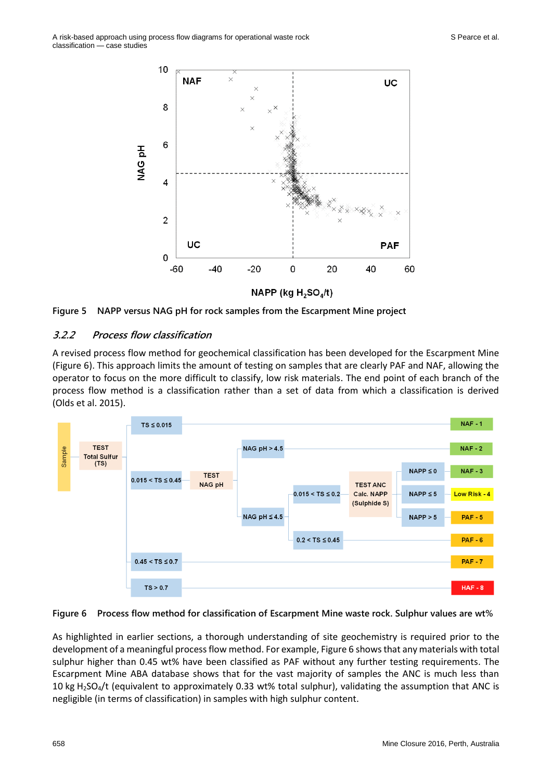



#### **3.2.2 Process flow classification**

A revised process flow method for geochemical classification has been developed for the Escarpment Mine (Figure 6). This approach limits the amount of testing on samples that are clearly PAF and NAF, allowing the operator to focus on the more difficult to classify, low risk materials. The end point of each branch of the process flow method is a classification rather than a set of data from which a classification is derived (Olds et al. 2015).



#### **Figure 6 Process flow method for classification of Escarpment Mine waste rock. Sulphur values are wt%**

As highlighted in earlier sections, a thorough understanding of site geochemistry is required prior to the development of a meaningful process flow method. For example, Figure 6 shows that any materials with total sulphur higher than 0.45 wt% have been classified as PAF without any further testing requirements. The Escarpment Mine ABA database shows that for the vast majority of samples the ANC is much less than 10 kg H<sub>2</sub>SO<sub>4</sub>/t (equivalent to approximately 0.33 wt% total sulphur), validating the assumption that ANC is negligible (in terms of classification) in samples with high sulphur content.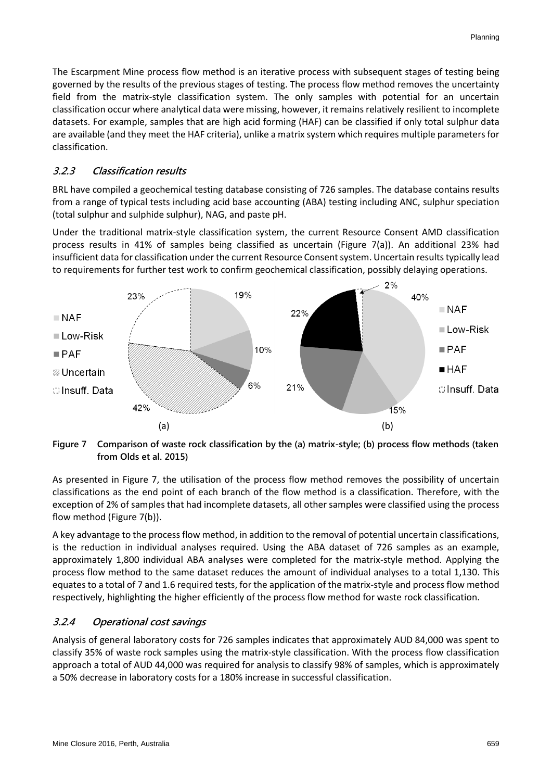The Escarpment Mine process flow method is an iterative process with subsequent stages of testing being governed by the results of the previous stages of testing. The process flow method removes the uncertainty field from the matrix-style classification system. The only samples with potential for an uncertain classification occur where analytical data were missing, however, it remains relatively resilient to incomplete datasets. For example, samples that are high acid forming (HAF) can be classified if only total sulphur data are available (and they meet the HAF criteria), unlike a matrix system which requires multiple parameters for classification.

#### **3.2.3 Classification results**

BRL have compiled a geochemical testing database consisting of 726 samples. The database contains results from a range of typical tests including acid base accounting (ABA) testing including ANC, sulphur speciation (total sulphur and sulphide sulphur), NAG, and paste pH.

Under the traditional matrix-style classification system, the current Resource Consent AMD classification process results in 41% of samples being classified as uncertain (Figure 7(a)). An additional 23% had insufficient data for classification under the current Resource Consent system. Uncertain results typically lead to requirements for further test work to confirm geochemical classification, possibly delaying operations.



**Figure 7 Comparison of waste rock classification by the (a) matrix-style; (b) process flow methods (taken from Olds et al. 2015)**

As presented in Figure 7, the utilisation of the process flow method removes the possibility of uncertain classifications as the end point of each branch of the flow method is a classification. Therefore, with the exception of 2% of samples that had incomplete datasets, all other samples were classified using the process flow method (Figure 7(b)).

A key advantage to the process flow method, in addition to the removal of potential uncertain classifications, is the reduction in individual analyses required. Using the ABA dataset of 726 samples as an example, approximately 1,800 individual ABA analyses were completed for the matrix-style method. Applying the process flow method to the same dataset reduces the amount of individual analyses to a total 1,130. This equates to a total of 7 and 1.6 required tests, for the application of the matrix-style and process flow method respectively, highlighting the higher efficiently of the process flow method for waste rock classification.

#### **3.2.4 Operational cost savings**

Analysis of general laboratory costs for 726 samples indicates that approximately AUD 84,000 was spent to classify 35% of waste rock samples using the matrix-style classification. With the process flow classification approach a total of AUD 44,000 was required for analysis to classify 98% of samples, which is approximately a 50% decrease in laboratory costs for a 180% increase in successful classification.